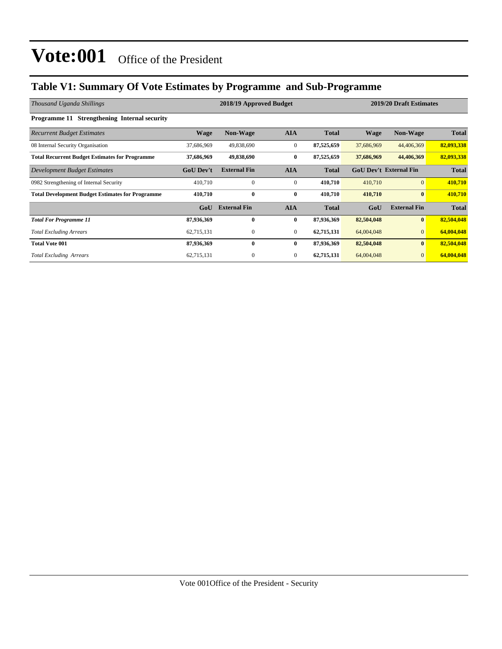### **Table V1: Summary Of Vote Estimates by Programme and Sub-Programme**

| Thousand Uganda Shillings                               |                  | 2018/19 Approved Budget |                  | 2019/20 Draft Estimates |             |                               |              |
|---------------------------------------------------------|------------------|-------------------------|------------------|-------------------------|-------------|-------------------------------|--------------|
| <b>Programme 11 Strengthening Internal security</b>     |                  |                         |                  |                         |             |                               |              |
| <b>Recurrent Budget Estimates</b>                       | <b>Wage</b>      | <b>Non-Wage</b>         | <b>AIA</b>       | <b>Total</b>            | <b>Wage</b> | <b>Non-Wage</b>               | <b>Total</b> |
| 08 Internal Security Organisation                       | 37,686,969       | 49,838,690              | $\boldsymbol{0}$ | 87,525,659              | 37,686,969  | 44,406,369                    | 82,093,338   |
| <b>Total Recurrent Budget Estimates for Programme</b>   | 37,686,969       | 49,838,690              | $\bf{0}$         | 87,525,659              | 37,686,969  | 44,406,369                    | 82,093,338   |
| Development Budget Estimates                            | <b>GoU Dev't</b> | <b>External Fin</b>     | <b>AIA</b>       | <b>Total</b>            |             | <b>GoU Dev't External Fin</b> | <b>Total</b> |
| 0982 Strengthening of Internal Security                 | 410,710          | $\mathbf{0}$            | $\mathbf{0}$     | 410,710                 | 410,710     | $\overline{0}$                | 410,710      |
| <b>Total Development Budget Estimates for Programme</b> | 410,710          | $\mathbf{0}$            | $\bf{0}$         | 410,710                 | 410,710     | $\bf{0}$                      | 410,710      |
|                                                         | GoU              | <b>External Fin</b>     | <b>AIA</b>       | <b>Total</b>            | GoU         | <b>External Fin</b>           | <b>Total</b> |
| <b>Total For Programme 11</b>                           | 87,936,369       | $\bf{0}$                | $\bf{0}$         | 87,936,369              | 82,504,048  | $\bf{0}$                      | 82,504,048   |
| <b>Total Excluding Arrears</b>                          | 62,715,131       | $\mathbf{0}$            | $\mathbf{0}$     | 62,715,131              | 64,004,048  | $\overline{0}$                | 64,004,048   |
| <b>Total Vote 001</b>                                   | 87,936,369       | $\mathbf{0}$            | $\bf{0}$         | 87,936,369              | 82,504,048  | $\bf{0}$                      | 82,504,048   |
| <b>Total Excluding Arrears</b>                          | 62,715,131       | 0                       | $\bf{0}$         | 62,715,131              | 64,004,048  | $\mathbf{0}$                  | 64,004,048   |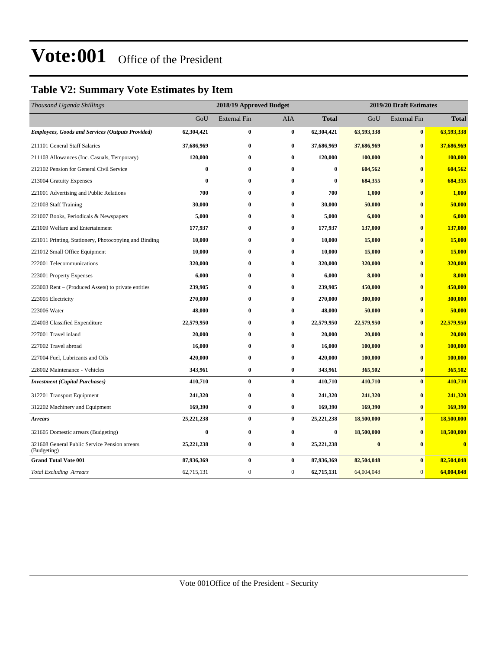### **Table V2: Summary Vote Estimates by Item**

| Thousand Uganda Shillings                                    | 2018/19 Approved Budget |                     |              |              | 2019/20 Draft Estimates |                     |                         |  |
|--------------------------------------------------------------|-------------------------|---------------------|--------------|--------------|-------------------------|---------------------|-------------------------|--|
|                                                              | GoU                     | <b>External Fin</b> | <b>AIA</b>   | <b>Total</b> | GoU                     | <b>External Fin</b> | <b>Total</b>            |  |
| <b>Employees, Goods and Services (Outputs Provided)</b>      | 62,304,421              | $\bf{0}$            | $\bf{0}$     | 62,304,421   | 63,593,338              | $\bf{0}$            | 63,593,338              |  |
| 211101 General Staff Salaries                                | 37,686,969              | $\bf{0}$            | $\bf{0}$     | 37,686,969   | 37,686,969              | $\bf{0}$            | 37,686,969              |  |
| 211103 Allowances (Inc. Casuals, Temporary)                  | 120,000                 | $\bf{0}$            | $\bf{0}$     | 120,000      | 100,000                 | $\bf{0}$            | 100,000                 |  |
| 212102 Pension for General Civil Service                     | $\bf{0}$                | $\bf{0}$            | $\bf{0}$     | $\bf{0}$     | 604,562                 | $\bf{0}$            | 604,562                 |  |
| 213004 Gratuity Expenses                                     | $\bf{0}$                | $\bf{0}$            | $\bf{0}$     | 0            | 684,355                 | $\bf{0}$            | 684,355                 |  |
| 221001 Advertising and Public Relations                      | 700                     | $\bf{0}$            | 0            | 700          | 1,000                   | $\bf{0}$            | 1,000                   |  |
| 221003 Staff Training                                        | 30,000                  | $\bf{0}$            | $\bf{0}$     | 30,000       | 50,000                  | $\bf{0}$            | 50,000                  |  |
| 221007 Books, Periodicals & Newspapers                       | 5,000                   | $\bf{0}$            | $\bf{0}$     | 5,000        | 6,000                   | $\bf{0}$            | 6,000                   |  |
| 221009 Welfare and Entertainment                             | 177,937                 | $\bf{0}$            | $\bf{0}$     | 177,937      | 137,000                 | $\bf{0}$            | 137,000                 |  |
| 221011 Printing, Stationery, Photocopying and Binding        | 10,000                  | $\bf{0}$            | $\bf{0}$     | 10,000       | 15,000                  | $\bf{0}$            | 15,000                  |  |
| 221012 Small Office Equipment                                | 10,000                  | $\bf{0}$            | $\bf{0}$     | 10,000       | 15,000                  | $\bf{0}$            | 15,000                  |  |
| 222001 Telecommunications                                    | 320,000                 | $\bf{0}$            | $\bf{0}$     | 320,000      | 320,000                 | $\bf{0}$            | 320,000                 |  |
| 223001 Property Expenses                                     | 6,000                   | $\bf{0}$            | $\bf{0}$     | 6,000        | 8,000                   | $\bf{0}$            | 8,000                   |  |
| 223003 Rent – (Produced Assets) to private entities          | 239,905                 | $\bf{0}$            | $\bf{0}$     | 239,905      | 450,000                 | $\bf{0}$            | 450,000                 |  |
| 223005 Electricity                                           | 270,000                 | $\bf{0}$            | $\bf{0}$     | 270,000      | 300,000                 | $\bf{0}$            | 300,000                 |  |
| 223006 Water                                                 | 48,000                  | $\bf{0}$            | $\bf{0}$     | 48,000       | 50,000                  | $\bf{0}$            | 50,000                  |  |
| 224003 Classified Expenditure                                | 22,579,950              | $\bf{0}$            | $\bf{0}$     | 22,579,950   | 22,579,950              | $\bf{0}$            | 22,579,950              |  |
| 227001 Travel inland                                         | 20,000                  | $\bf{0}$            | $\bf{0}$     | 20,000       | 20,000                  | $\bf{0}$            | 20,000                  |  |
| 227002 Travel abroad                                         | 16,000                  | $\bf{0}$            | $\bf{0}$     | 16,000       | 100,000                 | $\bf{0}$            | 100,000                 |  |
| 227004 Fuel, Lubricants and Oils                             | 420,000                 | $\bf{0}$            | $\bf{0}$     | 420,000      | 100,000                 | $\bf{0}$            | 100,000                 |  |
| 228002 Maintenance - Vehicles                                | 343,961                 | $\bf{0}$            | $\bf{0}$     | 343,961      | 365,502                 | $\bf{0}$            | 365,502                 |  |
| <b>Investment</b> (Capital Purchases)                        | 410,710                 | $\bf{0}$            | $\bf{0}$     | 410,710      | 410,710                 | $\bf{0}$            | 410,710                 |  |
| 312201 Transport Equipment                                   | 241,320                 | $\bf{0}$            | $\bf{0}$     | 241,320      | 241,320                 | $\bf{0}$            | 241,320                 |  |
| 312202 Machinery and Equipment                               | 169,390                 | $\bf{0}$            | $\bf{0}$     | 169,390      | 169,390                 | $\bf{0}$            | 169,390                 |  |
| <b>Arrears</b>                                               | 25,221,238              | $\bf{0}$            | $\bf{0}$     | 25, 221, 238 | 18,500,000              | $\bf{0}$            | 18,500,000              |  |
| 321605 Domestic arrears (Budgeting)                          | $\bf{0}$                | $\bf{0}$            | $\bf{0}$     | 0            | 18,500,000              | $\bf{0}$            | 18,500,000              |  |
| 321608 General Public Service Pension arrears<br>(Budgeting) | 25, 221, 238            | $\bf{0}$            | $\bf{0}$     | 25, 221, 238 | $\bf{0}$                | $\bf{0}$            | $\overline{\mathbf{0}}$ |  |
| <b>Grand Total Vote 001</b>                                  | 87,936,369              | $\bf{0}$            | $\bf{0}$     | 87,936,369   | 82,504,048              | $\bf{0}$            | 82,504,048              |  |
| <b>Total Excluding Arrears</b>                               | 62,715,131              | $\boldsymbol{0}$    | $\mathbf{0}$ | 62,715,131   | 64,004,048              | $\overline{0}$      | 64,004,048              |  |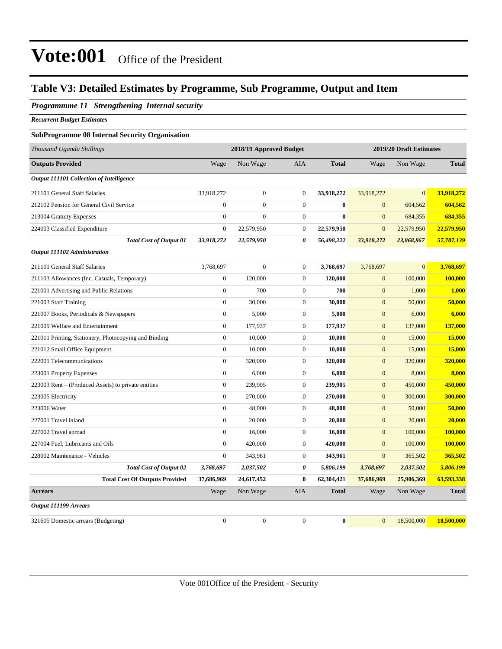### **Table V3: Detailed Estimates by Programme, Sub Programme, Output and Item**

### *Programmme 11 Strengthening Internal security*

*Recurrent Budget Estimates*

### **SubProgramme 08 Internal Security Organisation**

| Thousand Uganda Shillings                             | 2018/19 Approved Budget |                  |                  |              | 2019/20 Draft Estimates |                |              |
|-------------------------------------------------------|-------------------------|------------------|------------------|--------------|-------------------------|----------------|--------------|
| <b>Outputs Provided</b>                               | Wage                    | Non Wage         | <b>AIA</b>       | <b>Total</b> | Wage                    | Non Wage       | <b>Total</b> |
| Output 111101 Collection of Intelligence              |                         |                  |                  |              |                         |                |              |
| 211101 General Staff Salaries                         | 33,918,272              | $\boldsymbol{0}$ | $\boldsymbol{0}$ | 33,918,272   | 33,918,272              | $\overline{0}$ | 33,918,272   |
| 212102 Pension for General Civil Service              | $\boldsymbol{0}$        | $\boldsymbol{0}$ | $\boldsymbol{0}$ | $\bf{0}$     | $\mathbf{0}$            | 604,562        | 604,562      |
| 213004 Gratuity Expenses                              | $\mathbf{0}$            | $\mathbf{0}$     | $\overline{0}$   | $\bf{0}$     | $\mathbf{0}$            | 684,355        | 684,355      |
| 224003 Classified Expenditure                         | $\mathbf{0}$            | 22,579,950       | $\boldsymbol{0}$ | 22,579,950   | $\overline{0}$          | 22,579,950     | 22,579,950   |
| <b>Total Cost of Output 01</b>                        | 33,918,272              | 22,579,950       | 0                | 56,498,222   | 33,918,272              | 23,868,867     | 57,787,139   |
| <b>Output 111102 Administration</b>                   |                         |                  |                  |              |                         |                |              |
| 211101 General Staff Salaries                         | 3,768,697               | $\boldsymbol{0}$ | $\boldsymbol{0}$ | 3,768,697    | 3,768,697               | $\overline{0}$ | 3,768,697    |
| 211103 Allowances (Inc. Casuals, Temporary)           | $\mathbf{0}$            | 120,000          | $\overline{0}$   | 120,000      | $\mathbf{0}$            | 100,000        | 100,000      |
| 221001 Advertising and Public Relations               | $\overline{0}$          | 700              | $\overline{0}$   | 700          | $\mathbf{0}$            | 1,000          | 1,000        |
| 221003 Staff Training                                 | $\overline{0}$          | 30,000           | $\boldsymbol{0}$ | 30,000       | $\mathbf{0}$            | 50,000         | 50,000       |
| 221007 Books, Periodicals & Newspapers                | $\boldsymbol{0}$        | 5,000            | $\boldsymbol{0}$ | 5,000        | $\mathbf{0}$            | 6,000          | 6,000        |
| 221009 Welfare and Entertainment                      | $\mathbf{0}$            | 177,937          | $\boldsymbol{0}$ | 177,937      | $\mathbf{0}$            | 137,000        | 137,000      |
| 221011 Printing, Stationery, Photocopying and Binding | $\overline{0}$          | 10,000           | $\boldsymbol{0}$ | 10,000       | $\mathbf{0}$            | 15,000         | 15,000       |
| 221012 Small Office Equipment                         | $\boldsymbol{0}$        | 10,000           | $\boldsymbol{0}$ | 10,000       | $\mathbf{0}$            | 15,000         | 15,000       |
| 222001 Telecommunications                             | $\mathbf{0}$            | 320,000          | $\boldsymbol{0}$ | 320,000      | $\mathbf{0}$            | 320,000        | 320,000      |
| 223001 Property Expenses                              | $\mathbf{0}$            | 6,000            | $\overline{0}$   | 6,000        | $\mathbf{0}$            | 8,000          | 8,000        |
| 223003 Rent – (Produced Assets) to private entities   | $\overline{0}$          | 239,905          | $\overline{0}$   | 239,905      | $\mathbf{0}$            | 450,000        | 450,000      |
| 223005 Electricity                                    | $\mathbf{0}$            | 270,000          | $\boldsymbol{0}$ | 270,000      | $\boldsymbol{0}$        | 300,000        | 300,000      |
| 223006 Water                                          | $\boldsymbol{0}$        | 48,000           | $\boldsymbol{0}$ | 48,000       | $\mathbf{0}$            | 50,000         | 50,000       |
| 227001 Travel inland                                  | $\mathbf{0}$            | 20,000           | $\overline{0}$   | 20,000       | $\mathbf{0}$            | 20,000         | 20,000       |
| 227002 Travel abroad                                  | $\mathbf{0}$            | 16,000           | $\boldsymbol{0}$ | 16,000       | $\mathbf{0}$            | 100,000        | 100,000      |
| 227004 Fuel, Lubricants and Oils                      | $\mathbf{0}$            | 420,000          | $\boldsymbol{0}$ | 420,000      | $\mathbf{0}$            | 100,000        | 100,000      |
| 228002 Maintenance - Vehicles                         | $\boldsymbol{0}$        | 343,961          | $\boldsymbol{0}$ | 343,961      | $\mathbf{0}$            | 365,502        | 365,502      |
| <b>Total Cost of Output 02</b>                        | 3,768,697               | 2,037,502        | 0                | 5,806,199    | 3,768,697               | 2,037,502      | 5,806,199    |
| <b>Total Cost Of Outputs Provided</b>                 | 37,686,969              | 24,617,452       | 0                | 62,304,421   | 37,686,969              | 25,906,369     | 63,593,338   |
| <b>Arrears</b>                                        | Wage                    | Non Wage         | <b>AIA</b>       | <b>Total</b> | Wage                    | Non Wage       | <b>Total</b> |
| <b>Output 111199 Arrears</b>                          |                         |                  |                  |              |                         |                |              |
| 321605 Domestic arrears (Budgeting)                   | $\mathbf{0}$            | $\boldsymbol{0}$ | $\overline{0}$   | $\bf{0}$     | $\mathbf{0}$            | 18,500,000     | 18,500,000   |